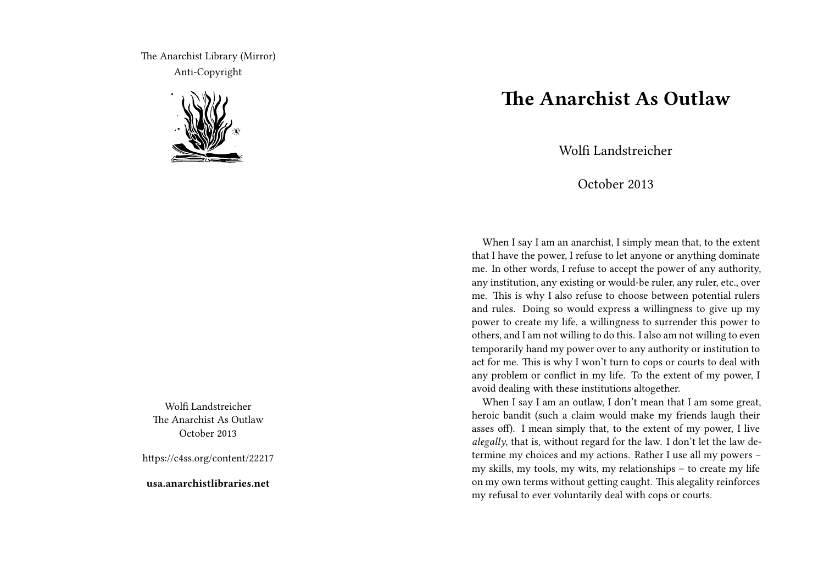The Anarchist Library (Mirror) Anti-Copyright



Wolfi Landstreicher The Anarchist As Outlaw October 2013

https://c4ss.org/content/22217

**usa.anarchistlibraries.net**

## **The Anarchist As Outlaw**

Wolfi Landstreicher

October 2013

When I say I am an anarchist, I simply mean that, to the extent that I have the power, I refuse to let anyone or anything dominate me. In other words, I refuse to accept the power of any authority, any institution, any existing or would-be ruler, any ruler, etc., over me. This is why I also refuse to choose between potential rulers and rules. Doing so would express a willingness to give up my power to create my life, a willingness to surrender this power to others, and I am not willing to do this. I also am not willing to even temporarily hand my power over to any authority or institution to act for me. This is why I won't turn to cops or courts to deal with any problem or conflict in my life. To the extent of my power, I avoid dealing with these institutions altogether.

When I say I am an outlaw, I don't mean that I am some great, heroic bandit (such a claim would make my friends laugh their asses off). I mean simply that, to the extent of my power, I live *alegally*, that is, without regard for the law. I don't let the law determine my choices and my actions. Rather I use all my powers – my skills, my tools, my wits, my relationships – to create my life on my own terms without getting caught. This alegality reinforces my refusal to ever voluntarily deal with cops or courts.